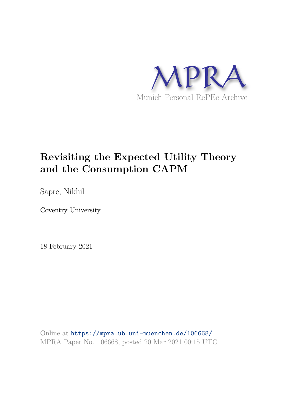

# **Revisiting the Expected Utility Theory and the Consumption CAPM**

Sapre, Nikhil

Coventry University

18 February 2021

Online at https://mpra.ub.uni-muenchen.de/106668/ MPRA Paper No. 106668, posted 20 Mar 2021 00:15 UTC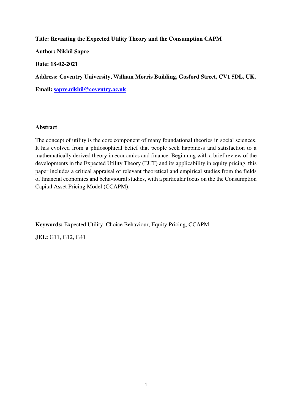**Title: Revisiting the Expected Utility Theory and the Consumption CAPM Author: Nikhil Sapre Date: 18-02-2021 Address: Coventry University, William Morris Building, Gosford Street, CV1 5DL, UK. Email: [sapre.nikhil@coventry.ac.uk](mailto:sapre.nikhil@coventry.ac.uk)**

#### **Abstract**

The concept of utility is the core component of many foundational theories in social sciences. It has evolved from a philosophical belief that people seek happiness and satisfaction to a mathematically derived theory in economics and finance. Beginning with a brief review of the developments in the Expected Utility Theory (EUT) and its applicability in equity pricing, this paper includes a critical appraisal of relevant theoretical and empirical studies from the fields of financial economics and behavioural studies, with a particular focus on the the Consumption Capital Asset Pricing Model (CCAPM).

**Keywords:** Expected Utility, Choice Behaviour, Equity Pricing, CCAPM **JEL:** G11, G12, G41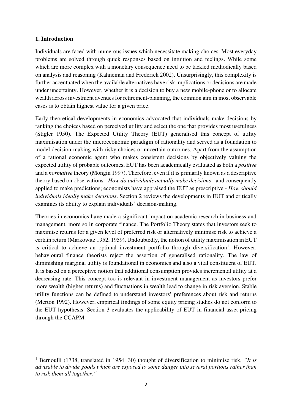# **1. Introduction**

Individuals are faced with numerous issues which necessitate making choices. Most everyday problems are solved through quick responses based on intuition and feelings. While some which are more complex with a monetary consequence need to be tackled methodically based on analysis and reasoning (Kahneman and Frederick 2002). Unsurprisingly, this complexity is further accentuated when the available alternatives have risk implications or decisions are made under uncertainty. However, whether it is a decision to buy a new mobile-phone or to allocate wealth across investment avenues for retirement-planning, the common aim in most observable cases is to obtain highest value for a given price.

Early theoretical developments in economics advocated that individuals make decisions by ranking the choices based on perceived utility and select the one that provides most usefulness (Stigler 1950). The Expected Utility Theory (EUT) generalised this concept of utility maximisation under the microeconomic paradigm of rationality and served as a foundation to model decision-making with risky choices or uncertain outcomes. Apart from the assumption of a rational economic agent who makes consistent decisions by objectively valuing the expected utility of probable outcomes, EUT has been academically evaluated as both a *positive* and a *normative* theory (Mongin 1997). Therefore, even if it is primarily known as a descriptive theory based on observations - *How do individuals actually make decisions* - and consequently applied to make predictions; economists have appraised the EUT as prescriptive - *How should individuals ideally make decisions*. Section 2 reviews the developments in EUT and critically examines its ability to explain individuals' decision-making.

Theories in economics have made a significant impact on academic research in business and management, more so in corporate finance. The Portfolio Theory states that investors seek to maximise returns for a given level of preferred risk or alternatively minimise risk to achieve a certain return (Markowitz 1952, 1959). Undoubtedly, the notion of utility maximisation in EUT is critical to achieve an optimal investment portfolio through diversification<sup>1</sup>. However, behavioural finance theorists reject the assertion of generalised rationality. The law of diminishing marginal utility is foundational in economics and also a vital constituent of EUT. It is based on a perceptive notion that additional consumption provides incremental utility at a decreasing rate. This concept too is relevant in investment management as investors prefer more wealth (higher returns) and fluctuations in wealth lead to change in risk aversion. Stable utility functions can be defined to understand investors' preferences about risk and returns (Merton 1992). However, empirical findings of some equity pricing studies do not conform to the EUT hypothesis. Section 3 evaluates the applicability of EUT in financial asset pricing through the CCAPM.

<sup>1</sup> Bernoulli (1738, translated in 1954: 30) thought of diversification to minimise risk, *"It is advisable to divide goods which are exposed to some danger into several portions rather than to risk them all together."*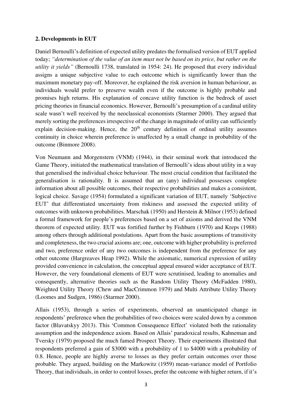# **2. Developments in EUT**

Daniel Bernoulli's definition of expected utility predates the formalised version of EUT applied today; *"determination of the value of an item must not be based on its price, but rather on the utility it yields"* (Bernoulli 1738, translated in 1954: 24). He proposed that every individual assigns a unique subjective value to each outcome which is significantly lower than the maximum monetary pay-off. Moreover, he explained the risk aversion in human behaviour, as individuals would prefer to preserve wealth even if the outcome is highly probable and promises high returns. His explanation of concave utility function is the bedrock of asset pricing theories in financial economics. However, Bernoulli's presumption of a cardinal utility scale wasn't well received by the neoclassical economists (Starmer 2000). They argued that merely sorting the preferences irrespective of the change in magnitude of utility can sufficiently explain decision-making. Hence, the  $20<sup>th</sup>$  century definition of ordinal utility assumes continuity in choice wherein preference is unaffected by a small change in probability of the outcome (Binmore 2008).

Von Neumann and Morgenstern (VNM) (1944), in their seminal work that introduced the Game Theory, initiated the mathematical translation of Bernoulli's ideas about utility in a way that generalised the individual choice behaviour. The most crucial condition that facilitated the generalisation is rationality. It is assumed that an (any) individual possesses complete information about all possible outcomes, their respective probabilities and makes a consistent, logical choice. Savage (1954) formulated a significant variation of EUT, namely 'Subjective EUT' that differentiated uncertainty from riskiness and assessed the expected utility of outcomes with unknown probabilities. Marschak (1950) and Herstein & Milnor (1953) defined a formal framework for people's preferences based on a set of axioms and derived the VNM theorem of expected utility. EUT was fortified further by Fishburn (1970) and Kreps (1988) among others through additional postulations. Apart from the basic assumptions of transitivity and completeness, the two crucial axioms are; one, outcome with higher probability is preferred and two, preference order of any two outcomes is independent from the preference for any other outcome (Hargreaves Heap 1992). While the axiomatic, numerical expression of utility provided convenience in calculation, the conceptual appeal ensured wider acceptance of EUT. However, the very foundational elements of EUT were scrutinised, leading to anomalies and consequently, alternative theories such as the Random Utility Theory (McFadden 1980), Weighted Utility Theory (Chew and MacCrimmon 1979) and Multi Attribute Utility Theory (Loomes and Sudgen, 1986) (Starmer 2000).

Allais (1953), through a series of experiments, observed an unanticipated change in respondents' preference when the probabilities of two choices were scaled down by a common factor (Blavatskyy 2013). This 'Common Consequence Effect' violated both the rationality assumption and the independence axiom. Based on Allais' paradoxical results, Kahneman and Tversky (1979) proposed the much famed Prospect Theory. Their experiments illustrated that respondents preferred a gain of \$3000 with a probability of 1 to \$4000 with a probability of 0.8. Hence, people are highly averse to losses as they prefer certain outcomes over those probable. They argued, building on the Markowitz (1959) mean-variance model of Portfolio Theory, that individuals, in order to control losses, prefer the outcome with higher return, if it's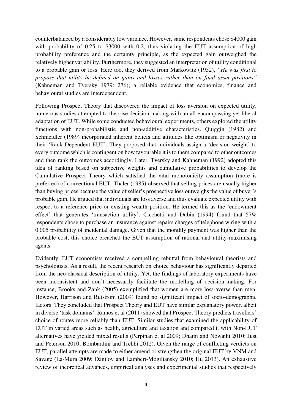counterbalanced by a considerably low variance. However, same respondents chose \$4000 gain with probability of 0.25 to \$3000 with 0.2, thus violating the EUT assumption of high probability preference and the certainty principle, as the expected gain outweighed the relatively higher variability. Furthermore, they suggested an interpretation of utility conditional to a probable gain or loss. Here too, they derived from Markowitz (1952), *"He was first to propose that utility be defined on gains and losses rather than on final asset positions"* (Kahneman and Tversky 1979: 276); a reliable evidence that economics, finance and behavioural studies are interdependent.

Following Prospect Theory that discovered the impact of loss aversion on expected utility, numerous studies attempted to theorise decision-making with an all-encompassing yet liberal adaptation of EUT. While some conducted behavioural experiments, others explored the utility functions with non-probabilistic and non-additive characteristics. Quiggin (1982) and Schmeidler (1989) incorporated inherent beliefs and attitudes like optimism or negativity in their 'Rank Dependent EUT'. They proposed that individuals assign a 'decision weight' to every outcome which is contingent on how favourable it is to them compared to other outcomes and then rank the outcomes accordingly. Later, Tversky and Kahneman (1992) adopted this idea of ranking based on subjective weights and cumulative probabilities to develop the Cumulative Prospect Theory which satisfied the vital monotonicity assumption (more is preferred) of conventional EUT. Thaler (1985) observed that selling prices are usually higher than buying prices because the value of seller's prospective loss outweighs the value of buyer's probable gain. He argued that individuals are loss averse and thus evaluate expected utility with respect to a reference price or existing wealth position. He termed this as the 'endowment effect' that generates 'transaction utility'. Cicchetti and Dubin (1994) found that 57% respondents chose to purchase an insurance against repairs charges of telephone wiring with a 0.005 probability of incidental damage. Given that the monthly payment was higher than the probable cost, this choice breached the EUT assumption of rational and utility-maximising agents.

Evidently, EUT economists received a compelling rebuttal from behavioural theorists and psychologists. As a result, the recent research on choice behaviour has significantly departed from the neo-classical description of utility. Yet, the findings of laboratory experiments have been inconsistent and don't necessarily facilitate the modelling of decision-making. For instance, Brooks and Zank (2005) exemplified that women are more loss-averse than men. However, Harrison and Rutstrom (2009) found no significant impact of socio-demographic factors. They concluded that Prospect Theory and EUT have similar explanatory power, albeit in diverse 'task domains'. Ramos et al (2011) showed that Prospect Theory predicts travellers' choice of routes more reliably than EUT. Similar studies that examined the applicability of EUT in varied areas such as health, agriculture and taxation and compared it with Non-EUT alternatives have yielded mixed results (Perpinan et al 2009; Dhami and Nowaihi 2010; Just and Peterson 2010; Bombardini and Trebbi 2012). Given the range of conflicting verdicts on EUT, parallel attempts are made to either amend or strengthen the original EUT by VNM and Savage (La-Mura 2009; Danilov and Lambert-Mogiliansky 2010; Hu 2013). An exhaustive review of theoretical advances, empirical analyses and experimental studies that respectively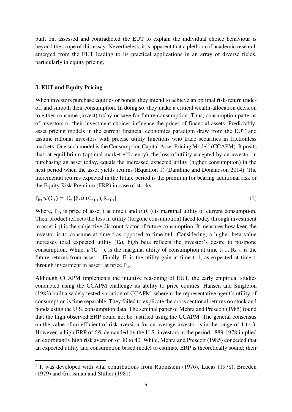built on, assessed and contradicted the EUT to explain the individual choice behaviour is beyond the scope of this essay. Nevertheless, it is apparent that a plethora of academic research emerged from the EUT leading to its practical applications in an array of diverse fields, particularly in equity pricing.

#### **3. EUT and Equity Pricing**

When investors purchase equities or bonds, they intend to achieve an optimal risk-return tradeoff and smooth their consumption. In doing so, they make a critical wealth-allocation decision to either consume (invest) today or save for future consumption. Thus, consumption patterns of investors or their investment choices influence the prices of financial assets. Predictably, asset pricing models in the current financial economics paradigm draw from the EUT and assume rational investors with precise utility functions who trade securities in frictionless markets. One such model is the Consumption Capital Asset Pricing Model<sup>2</sup> (CCAPM). It posits that, at equilibrium (optimal market efficiency), the loss of utility accepted by an investor in purchasing an asset today, equals the increased expected utility (higher consumption) in the next period when the asset yields returns (Equation 1) (Danthine and Donandson 2014). The incremental returns expected in the future period is the premium for bearing additional risk or the Equity Risk Premium (ERP) in case of stocks.

$$
P_{it}, u'(C_t) = E_t [\beta, u'(C_{t+1}), R_{t+1}]
$$
\n(1)

Where,  $P_{it}$ , is price of asset i at time t and  $u'(C_t)$  is marginal utility of current consumption. Their product reflects the loss in utility (forgone consumption) faced today through investment in asset i.  $\beta$  is the subjective discount factor of future consumption. It measures how keen the investor is to consume at time t as opposed to time t+1. Considering, a higher beta value increases total expected utility  $(E_t)$ , high beta reflects the investor's desire to postpone consumption. While,  $u'(C_{t+1})$ , is the marginal utility of consumption at time t+1;  $R_{t+1}$ , is the future returns from asset i. Finally,  $E_t$  is the utility gain at time  $t+1$ , as expected at time t, through investment in asset i at price Pit.

Although CCAPM implements the intuitive reasoning of EUT, the early empirical studies conducted using the CCAPM challenge its ability to price equities. Hansen and Singleton (1983) built a widely tested variation of CCAPM, wherein the representative agent's utility of consumption is time separable. They failed to explicate the cross sectional returns on stock and bonds using the U.S. consumption data. The seminal paper of Mehra and Prescott (1985) found that the high observed ERP could not be justified using the CCAPM. The general consensus on the value of co-efficient of risk aversion for an average investor is in the range of 1 to 3. However, a high ERP of 6% demanded by the U.S. investors in the period 1889-1978 implied an exorbitantly high risk aversion of 30 to 40. While, Mehra and Prescott (1985) conceded that an expected utility and consumption based model to estimate ERP is theoretically sound; their

<sup>&</sup>lt;sup>2</sup> It was developed with vital contributions from Rubinstein (1976), Lucas (1978), Breeden (1979) and Grossman and Shiller (1981)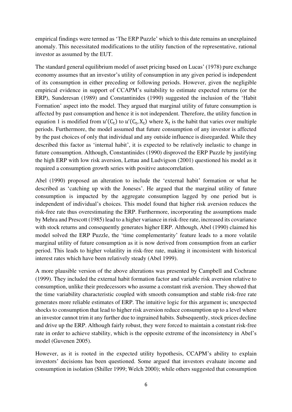empirical findings were termed as 'The ERP Puzzle' which to this date remains an unexplained anomaly. This necessitated modifications to the utility function of the representative, rational investor as assumed by the EUT.

The standard general equilibrium model of asset pricing based on Lucas' (1978) pure exchange economy assumes that an investor's utility of consumption in any given period is independent of its consumption in either preceding or following periods. However, given the negligible empirical evidence in support of CCAPM's suitability to estimate expected returns (or the ERP), Sunderesan (1989) and Constantinides (1990) suggested the inclusion of the 'Habit Formation' aspect into the model. They argued that marginal utility of future consumption is affected by past consumption and hence it is not independent. Therefore, the utility function in equation 1 is modified from  $u'(C_t)$  to  $u'(C_t, X_t)$  where  $X_t$  is the habit that varies over multiple periods. Furthermore, the model assumed that future consumption of any investor is affected by the past choices of only that individual and any outside influence is disregarded. While they described this factor as 'internal habit', it is expected to be relatively inelastic to change in future consumption. Although, Constantinides (1990) disproved the ERP Puzzle by justifying the high ERP with low risk aversion, Lettau and Ludvigson (2001) questioned his model as it required a consumption growth series with positive autocorrelation.

Abel (1990) proposed an alteration to include the 'external habit' formation or what he described as 'catching up with the Joneses'. He argued that the marginal utility of future consumption is impacted by the aggregate consumption lagged by one period but is independent of individual's choices. This model found that higher risk aversion reduces the risk-free rate thus overestimating the ERP. Furthermore, incorporating the assumptions made by Mehra and Prescott (1985) lead to a higher variance in risk-free rate, increased its covariance with stock returns and consequently generates higher ERP. Although, Abel (1990) claimed his model solved the ERP Puzzle, the 'time complementarity' feature leads to a more volatile marginal utility of future consumption as it is now derived from consumption from an earlier period. This leads to higher volatility in risk-free rate, making it inconsistent with historical interest rates which have been relatively steady (Abel 1999).

A more plausible version of the above alterations was presented by Campbell and Cochrane (1999). They included the external habit formation factor and variable risk aversion relative to consumption, unlike their predecessors who assume a constant risk aversion. They showed that the time variability characteristic coupled with smooth consumption and stable risk-free rate generates more reliable estimates of ERP. The intuitive logic for this argument is; unexpected shocks to consumption that lead to higher risk aversion reduce consumption up to a level where an investor cannot trim it any further due to ingrained habits. Subsequently, stock prices decline and drive up the ERP. Although fairly robust, they were forced to maintain a constant risk-free rate in order to achieve stability, which is the opposite extreme of the inconsistency in Abel's model (Guvenen 2005).

However, as it is rooted in the expected utility hypothesis, CCAPM's ability to explain investors' decisions has been questioned. Some argued that investors evaluate income and consumption in isolation (Shiller 1999; Welch 2000); while others suggested that consumption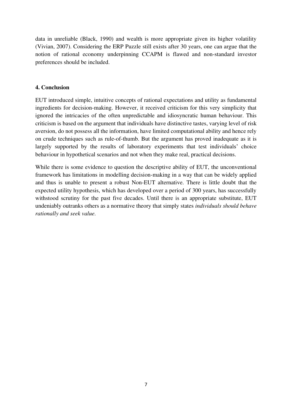data in unreliable (Black, 1990) and wealth is more appropriate given its higher volatility (Vivian, 2007). Considering the ERP Puzzle still exists after 30 years, one can argue that the notion of rational economy underpinning CCAPM is flawed and non-standard investor preferences should be included.

#### **4. Conclusion**

EUT introduced simple, intuitive concepts of rational expectations and utility as fundamental ingredients for decision-making. However, it received criticism for this very simplicity that ignored the intricacies of the often unpredictable and idiosyncratic human behaviour. This criticism is based on the argument that individuals have distinctive tastes, varying level of risk aversion, do not possess all the information, have limited computational ability and hence rely on crude techniques such as rule-of-thumb. But the argument has proved inadequate as it is largely supported by the results of laboratory experiments that test individuals' choice behaviour in hypothetical scenarios and not when they make real, practical decisions.

While there is some evidence to question the descriptive ability of EUT, the unconventional framework has limitations in modelling decision-making in a way that can be widely applied and thus is unable to present a robust Non-EUT alternative. There is little doubt that the expected utility hypothesis, which has developed over a period of 300 years, has successfully withstood scrutiny for the past five decades. Until there is an appropriate substitute, EUT undeniably outranks others as a normative theory that simply states *individuals should behave rationally and seek value.*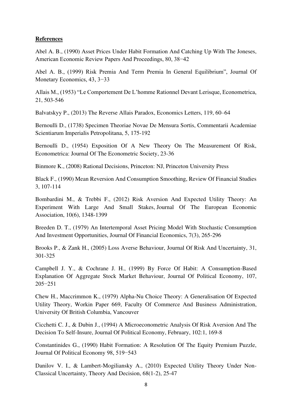### **References**

Abel A. B., (1990) Asset Prices Under Habit Formation And Catching Up With The Joneses, American Economic Review Papers And Proceedings, 80, 38−42

Abel A. B., (1999) Risk Premia And Term Premia In General Equilibrium", Journal Of Monetary Economics, 43, 3−33

Allais M., (1953) "Le Comportement De L'homme Rationnel Devant Lerisque, Econometrica, 21, 503-546

Balvatskyy P., (2013) The Reverse Allais Paradox, Economics Letters, 119, 60–64

Bernoulli D., (1738) Specimen Theoriae Novae De Mensura Sortis, Commentarii Academiae Scientiarum Imperialis Petropolitana, 5, 175-192

Bernoulli D., (1954) Exposition Of A New Theory On The Measurement Of Risk, Econometrica: Journal Of The Econometric Society, 23-36

Binmore K., (2008) Rational Decisions, Princeton: NJ, Princeton University Press

Black F., (1990) Mean Reversion And Consumption Smoothing, Review Of Financial Studies 3, 107-114

Bombardini M., & Trebbi F., (2012) Risk Aversion And Expected Utility Theory: An Experiment With Large And Small Stakes, Journal Of The European Economic Association, 10(6), 1348-1399

Breeden D. T., (1979) An Intertemporal Asset Pricing Model With Stochastic Consumption And Investment Opportunities, Journal Of Financial Economics, 7(3), 265-296

Brooks P., & Zank H., (2005) Loss Averse Behaviour, Journal Of Risk And Uncertainty, 31, 301-325

Campbell J. Y., & Cochrane J. H., (1999) By Force Of Habit: A Consumption-Based Explanation Of Aggregate Stock Market Behaviour, Journal Of Political Economy, 107, 205−251

Chew H., Maccrimmon K., (1979) Alpha-Nu Choice Theory: A Generalisation Of Expected Utility Theory, Workin Paper 669, Faculty Of Commerce And Business Administration, University Of British Columbia, Vancouver

Cicchetti C. J., & Dubin J., (1994) A Microeconometric Analysis Of Risk Aversion And The Decision To Self-Insure, Journal Of Political Economy, February, 102:1, 169-8

Constantinides G., (1990) Habit Formation: A Resolution Of The Equity Premium Puzzle, Journal Of Political Economy 98, 519−543

Danilov V. I., & Lambert-Mogiliansky A., (2010) Expected Utility Theory Under Non-Classical Uncertainty, Theory And Decision, 68(1-2), 25-47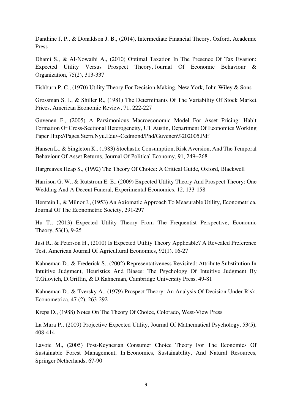Danthine J. P., & Donaldson J. B., (2014), Intermediate Financial Theory, Oxford, Academic Press

Dhami S., & Al-Nowaihi A., (2010) Optimal Taxation In The Presence Of Tax Evasion: Expected Utility Versus Prospect Theory, Journal Of Economic Behaviour & Organization, 75(2), 313-337

Fishburn P. C., (1970) Utility Theory For Decision Making, New York, John Wiley & Sons

Grossman S. J., & Shiller R., (1981) The Determinants Of The Variability Of Stock Market Prices, American Economic Review, 71, 222-227

Guvenen F., (2005) A Parsimonious Macroeconomic Model For Asset Pricing: Habit Formation Or Cross-Sectional Heterogeneity, UT Austin, Department Of Economics Working Paper [Http://Pages.Stern.Nyu.Edu/~Cedmond/Phd/Guvenen%202005.Pdf](http://pages.stern.nyu.edu/~cedmond/phd/Guvenen%202005.pdf) 

Hansen L., & Singleton K., (1983) Stochastic Consumption, Risk Aversion, And The Temporal Behaviour Of Asset Returns, Journal Of Political Economy, 91, 249−268

Hargreaves Heap S., (1992) The Theory Of Choice: A Critical Guide, Oxford, Blackwell

Harrison G. W., & Rutstrom E. E., (2009) Expected Utility Theory And Prospect Theory: One Wedding And A Decent Funeral, Experimental Economics, 12, 133-158

Herstein I., & Milnor J., (1953) An Axiomatic Approach To Measurable Utility, Econometrica, Journal Of The Econometric Society, 291-297

Hu T., (2013) Expected Utility Theory From The Frequentist Perspective, Economic Theory, 53(1), 9-25

Just R., & Peterson H., (2010) Is Expected Utility Theory Applicable? A Revealed Preference Test, American Journal Of Agricultural Economics, 92(1), 16-27

Kahneman D., & Frederick S., (2002) Representativeness Revisited: Attribute Substitution In Intuitive Judgment, Heuristics And Biases: The Psychology Of Intuitive Judgment By T.Gilovich, D.Griffin, & D.Kahneman, Cambridge University Press, 49-81

Kahneman D., & Tversky A., (1979) Prospect Theory: An Analysis Of Decision Under Risk, Econometrica, 47 (2), 263-292

Kreps D., (1988) Notes On The Theory Of Choice, Colorado, West-View Press

La Mura P., (2009) Projective Expected Utility, Journal Of Mathematical Psychology, 53(5), 408-414

Lavoie M., (2005) Post-Keynesian Consumer Choice Theory For The Economics Of Sustainable Forest Management, In Economics, Sustainability, And Natural Resources, Springer Netherlands, 67-90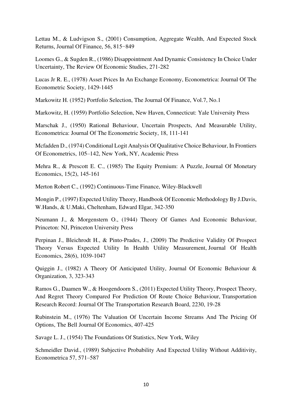Lettau M., & Ludvigson S., (2001) Consumption, Aggregate Wealth, And Expected Stock Returns, Journal Of Finance, 56, 815−849

Loomes G., & Sugden R., (1986) Disappointment And Dynamic Consistency In Choice Under Uncertainty, The Review Of Economic Studies, 271-282

Lucas Jr R. E., (1978) Asset Prices In An Exchange Economy, Econometrica: Journal Of The Econometric Society, 1429-1445

Markowitz H. (1952) Portfolio Selection, The Journal Of Finance, Vol.7, No.1

Markowitz, H. (1959) Portfolio Selection, New Haven, Connecticut: Yale University Press

Marschak J., (1950) Rational Behaviour, Uncertain Prospects, And Measurable Utility, Econometrica: Journal Of The Econometric Society, 18, 111-141

Mcfadden D., (1974) Conditional Logit Analysis Of Qualitative Choice Behaviour, In Frontiers Of Econometrics, 105–142, New York, NY, Academic Press

Mehra R., & Prescott E. C., (1985) The Equity Premium: A Puzzle, Journal Of Monetary Economics, 15(2), 145-161

Merton Robert C., (1992) Continuous-Time Finance, Wiley-Blackwell

Mongin P., (1997) Expected Utility Theory, Handbook Of Economic Methodology By J.Davis, W.Hands, & U.Maki, Cheltenham, Edward Elgar, 342-350

Neumann J., & Morgenstern O., (1944) Theory Of Games And Economic Behaviour, Princeton: NJ, Princeton University Press

Perpinan J., Bleichrodt H., & Pinto-Prades, J., (2009) The Predictive Validity Of Prospect Theory Versus Expected Utility In Health Utility Measurement, Journal Of Health Economics, 28(6), 1039-1047

Quiggin J., (1982) A Theory Of Anticipated Utility, Journal Of Economic Behaviour & Organization, 3, 323-343

Ramos G., Daamen W., & Hoogendoorn S., (2011) Expected Utility Theory, Prospect Theory, And Regret Theory Compared For Prediction Of Route Choice Behaviour, Transportation Research Record: Journal Of The Transportation Research Board, 2230, 19-28

Rubinstein M., (1976) The Valuation Of Uncertain Income Streams And The Pricing Of Options, The Bell Journal Of Economics, 407-425

Savage L. J., (1954) The Foundations Of Statistics, New York, Wiley

Schmeidler David., (1989) Subjective Probability And Expected Utility Without Additivity, Econometrica 57, 571–587